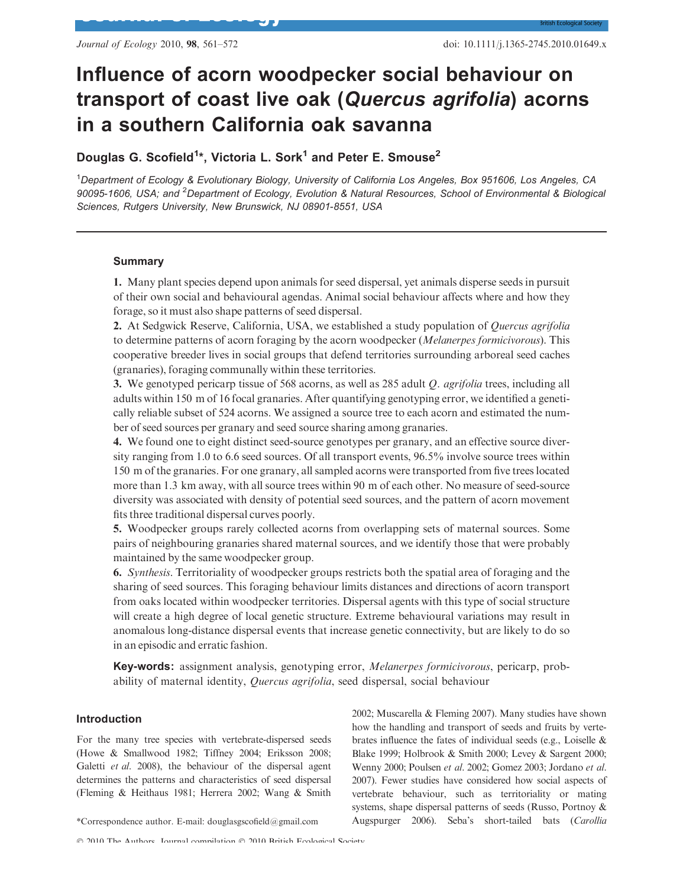# Influence of acorn woodpecker social behaviour on transport of coast live oak (Quercus agrifolia) acorns in a southern California oak savanna

Douglas G. Scofield $^{1\star}$ , Victoria L. Sork $^1$  and Peter E. Smouse $^2$ 

<sup>1</sup>Department of Ecology & Evolutionary Biology, University of California Los Angeles, Box 951606, Los Angeles, CA 90095-1606, USA; and <sup>2</sup>Department of Ecology, Evolution & Natural Resources, School of Environmental & Biological Sciences, Rutgers University, New Brunswick, NJ 08901-8551, USA

# Summary

1. Many plant species depend upon animals for seed dispersal, yet animals disperse seeds in pursuit of their own social and behavioural agendas. Animal social behaviour affects where and how they forage, so it must also shape patterns of seed dispersal.

2. At Sedgwick Reserve, California, USA, we established a study population of Quercus agrifolia to determine patterns of acorn foraging by the acorn woodpecker (Melanerpes formicivorous). This cooperative breeder lives in social groups that defend territories surrounding arboreal seed caches (granaries), foraging communally within these territories.

3. We genotyped pericarp tissue of 568 acorns, as well as 285 adult Q. agrifolia trees, including all adults within 150 m of 16 focal granaries. After quantifying genotyping error, we identified a genetically reliable subset of 524 acorns. We assigned a source tree to each acorn and estimated the number of seed sources per granary and seed source sharing among granaries.

4. We found one to eight distinct seed-source genotypes per granary, and an effective source diversity ranging from 1.0 to 6.6 seed sources. Of all transport events, 96.5% involve source trees within 150 m of the granaries. For one granary, all sampled acorns were transported from five trees located more than 1.3 km away, with all source trees within 90 m of each other. No measure of seed-source diversity was associated with density of potential seed sources, and the pattern of acorn movement fits three traditional dispersal curves poorly.

5. Woodpecker groups rarely collected acorns from overlapping sets of maternal sources. Some pairs of neighbouring granaries shared maternal sources, and we identify those that were probably maintained by the same woodpecker group.

6. Synthesis. Territoriality of woodpecker groups restricts both the spatial area of foraging and the sharing of seed sources. This foraging behaviour limits distances and directions of acorn transport from oaks located within woodpecker territories. Dispersal agents with this type of social structure will create a high degree of local genetic structure. Extreme behavioural variations may result in anomalous long-distance dispersal events that increase genetic connectivity, but are likely to do so in an episodic and erratic fashion.

Key-words: assignment analysis, genotyping error, Melanerpes formicivorous, pericarp, probability of maternal identity, Quercus agrifolia, seed dispersal, social behaviour

# Introduction

For the many tree species with vertebrate-dispersed seeds (Howe & Smallwood 1982; Tiffney 2004; Eriksson 2008; Galetti et al. 2008), the behaviour of the dispersal agent determines the patterns and characteristics of seed dispersal (Fleming & Heithaus 1981; Herrera 2002; Wang & Smith

2002; Muscarella & Fleming 2007). Many studies have shown how the handling and transport of seeds and fruits by vertebrates influence the fates of individual seeds (e.g., Loiselle & Blake 1999; Holbrook & Smith 2000; Levey & Sargent 2000; Wenny 2000; Poulsen et al. 2002; Gomez 2003; Jordano et al. 2007). Fewer studies have considered how social aspects of vertebrate behaviour, such as territoriality or mating systems, shape dispersal patterns of seeds (Russo, Portnoy & \*Correspondence author. E-mail: douglasgscofield@gmail.com Augspurger 2006). Seba's short-tailed bats (Carollia

@ 2010 The Authors. Journal compilation @ 2010 British Ecological Society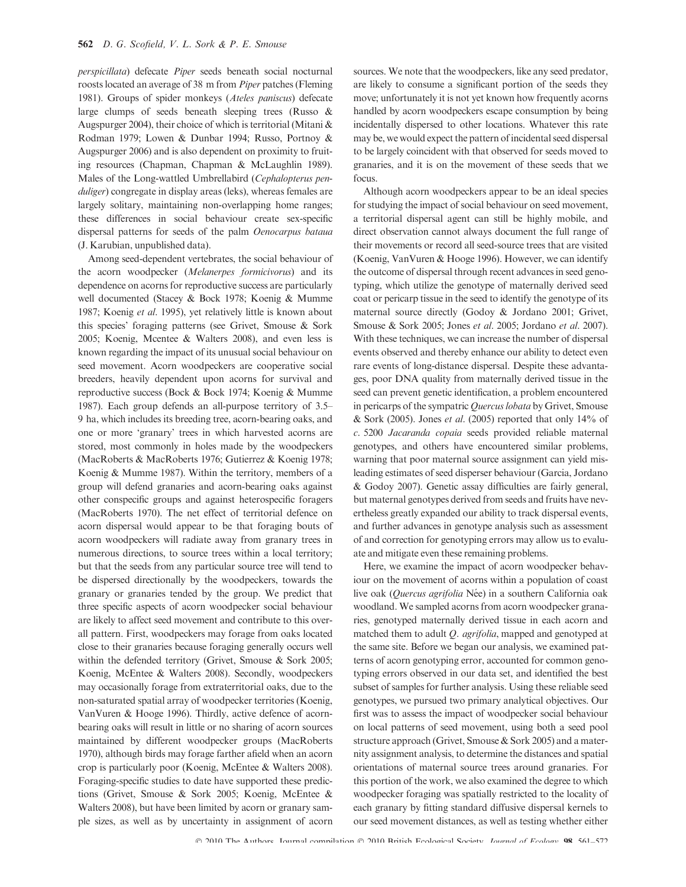perspicillata) defecate Piper seeds beneath social nocturnal roosts located an average of 38 m from Piper patches (Fleming 1981). Groups of spider monkeys (Ateles paniscus) defecate large clumps of seeds beneath sleeping trees (Russo & Augspurger 2004), their choice of which is territorial (Mitani & Rodman 1979; Lowen & Dunbar 1994; Russo, Portnoy & Augspurger 2006) and is also dependent on proximity to fruiting resources (Chapman, Chapman & McLaughlin 1989). Males of the Long-wattled Umbrellabird (Cephalopterus penduliger) congregate in display areas (leks), whereas females are largely solitary, maintaining non-overlapping home ranges; these differences in social behaviour create sex-specific dispersal patterns for seeds of the palm Oenocarpus bataua (J. Karubian, unpublished data).

Among seed-dependent vertebrates, the social behaviour of the acorn woodpecker (Melanerpes formicivorus) and its dependence on acorns for reproductive success are particularly well documented (Stacey & Bock 1978; Koenig & Mumme 1987; Koenig et al. 1995), yet relatively little is known about this species' foraging patterns (see Grivet, Smouse & Sork 2005; Koenig, Mcentee & Walters 2008), and even less is known regarding the impact of its unusual social behaviour on seed movement. Acorn woodpeckers are cooperative social breeders, heavily dependent upon acorns for survival and reproductive success (Bock & Bock 1974; Koenig & Mumme 1987). Each group defends an all-purpose territory of 3.5– 9 ha, which includes its breeding tree, acorn-bearing oaks, and one or more 'granary' trees in which harvested acorns are stored, most commonly in holes made by the woodpeckers (MacRoberts & MacRoberts 1976; Gutierrez & Koenig 1978; Koenig & Mumme 1987). Within the territory, members of a group will defend granaries and acorn-bearing oaks against other conspecific groups and against heterospecific foragers (MacRoberts 1970). The net effect of territorial defence on acorn dispersal would appear to be that foraging bouts of acorn woodpeckers will radiate away from granary trees in numerous directions, to source trees within a local territory; but that the seeds from any particular source tree will tend to be dispersed directionally by the woodpeckers, towards the granary or granaries tended by the group. We predict that three specific aspects of acorn woodpecker social behaviour are likely to affect seed movement and contribute to this overall pattern. First, woodpeckers may forage from oaks located close to their granaries because foraging generally occurs well within the defended territory (Grivet, Smouse & Sork 2005; Koenig, McEntee & Walters 2008). Secondly, woodpeckers may occasionally forage from extraterritorial oaks, due to the non-saturated spatial array of woodpecker territories (Koenig, VanVuren & Hooge 1996). Thirdly, active defence of acornbearing oaks will result in little or no sharing of acorn sources maintained by different woodpecker groups (MacRoberts 1970), although birds may forage farther afield when an acorn crop is particularly poor (Koenig, McEntee & Walters 2008). Foraging-specific studies to date have supported these predictions (Grivet, Smouse & Sork 2005; Koenig, McEntee & Walters 2008), but have been limited by acorn or granary sample sizes, as well as by uncertainty in assignment of acorn

sources. We note that the woodpeckers, like any seed predator, are likely to consume a significant portion of the seeds they move; unfortunately it is not yet known how frequently acorns handled by acorn woodpeckers escape consumption by being incidentally dispersed to other locations. Whatever this rate may be, we would expect the pattern of incidental seed dispersal to be largely coincident with that observed for seeds moved to granaries, and it is on the movement of these seeds that we focus.

Although acorn woodpeckers appear to be an ideal species for studying the impact of social behaviour on seed movement, a territorial dispersal agent can still be highly mobile, and direct observation cannot always document the full range of their movements or record all seed-source trees that are visited (Koenig, VanVuren & Hooge 1996). However, we can identify the outcome of dispersal through recent advances in seed genotyping, which utilize the genotype of maternally derived seed coat or pericarp tissue in the seed to identify the genotype of its maternal source directly (Godoy & Jordano 2001; Grivet, Smouse & Sork 2005; Jones et al. 2005; Jordano et al. 2007). With these techniques, we can increase the number of dispersal events observed and thereby enhance our ability to detect even rare events of long-distance dispersal. Despite these advantages, poor DNA quality from maternally derived tissue in the seed can prevent genetic identification, a problem encountered in pericarps of the sympatric Quercus lobata by Grivet, Smouse & Sork (2005). Jones et al. (2005) reported that only  $14\%$  of c. 5200 Jacaranda copaia seeds provided reliable maternal genotypes, and others have encountered similar problems, warning that poor maternal source assignment can yield misleading estimates of seed disperser behaviour (Garcia, Jordano & Godoy 2007). Genetic assay difficulties are fairly general, but maternal genotypes derived from seeds and fruits have nevertheless greatly expanded our ability to track dispersal events, and further advances in genotype analysis such as assessment of and correction for genotyping errors may allow us to evaluate and mitigate even these remaining problems.

Here, we examine the impact of acorn woodpecker behaviour on the movement of acorns within a population of coast live oak (*Quercus agrifolia* Née) in a southern California oak woodland. We sampled acorns from acorn woodpecker granaries, genotyped maternally derived tissue in each acorn and matched them to adult Q. agrifolia, mapped and genotyped at the same site. Before we began our analysis, we examined patterns of acorn genotyping error, accounted for common genotyping errors observed in our data set, and identified the best subset of samples for further analysis. Using these reliable seed genotypes, we pursued two primary analytical objectives. Our first was to assess the impact of woodpecker social behaviour on local patterns of seed movement, using both a seed pool structure approach (Grivet, Smouse & Sork 2005) and a maternity assignment analysis, to determine the distances and spatial orientations of maternal source trees around granaries. For this portion of the work, we also examined the degree to which woodpecker foraging was spatially restricted to the locality of each granary by fitting standard diffusive dispersal kernels to our seed movement distances, as well as testing whether either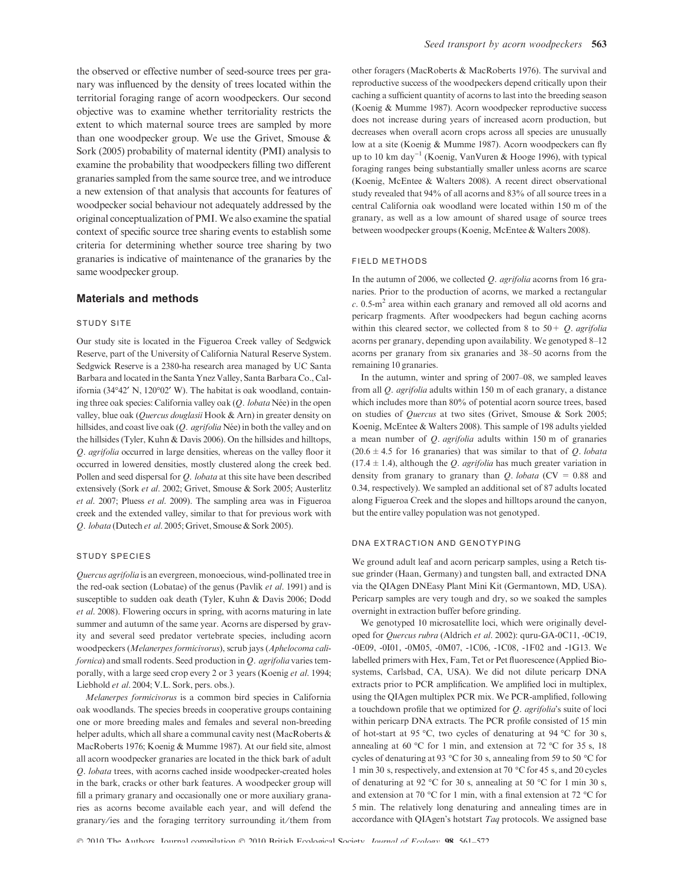the observed or effective number of seed-source trees per granary was influenced by the density of trees located within the territorial foraging range of acorn woodpeckers. Our second objective was to examine whether territoriality restricts the extent to which maternal source trees are sampled by more than one woodpecker group. We use the Grivet, Smouse & Sork (2005) probability of maternal identity (PMI) analysis to examine the probability that woodpeckers filling two different granaries sampled from the same source tree, and we introduce a new extension of that analysis that accounts for features of woodpecker social behaviour not adequately addressed by the original conceptualization of PMI.We also examine the spatial context of specific source tree sharing events to establish some criteria for determining whether source tree sharing by two granaries is indicative of maintenance of the granaries by the same woodpecker group.

## Materials and methods

# STUDY SITE

Our study site is located in the Figueroa Creek valley of Sedgwick Reserve, part of the University of California Natural Reserve System. Sedgwick Reserve is a 2380-ha research area managed by UC Santa Barbara and located in the Santa Ynez Valley, Santa Barbara Co., California (34 $\degree$ 42<sup> $\degree$ </sup> N, 120 $\degree$ 02 $\degree$  W). The habitat is oak woodland, containing three oak species: California valley oak (Q. lobata Ne´e) in the open valley, blue oak (Quercus douglasii Hook & Arn) in greater density on hillsides, and coast live oak  $(Q, \, \alpha$ grifolia Née) in both the valley and on the hillsides (Tyler, Kuhn & Davis 2006). On the hillsides and hilltops, Q. agrifolia occurred in large densities, whereas on the valley floor it occurred in lowered densities, mostly clustered along the creek bed. Pollen and seed dispersal for Q. lobata at this site have been described extensively (Sork et al. 2002; Grivet, Smouse & Sork 2005; Austerlitz et al. 2007; Pluess et al. 2009). The sampling area was in Figueroa creek and the extended valley, similar to that for previous work with Q. lobata (Dutech et al. 2005; Grivet, Smouse & Sork 2005).

#### STUDY SPECIES

Quercus agrifolia is an evergreen, monoecious, wind-pollinated tree in the red-oak section (Lobatae) of the genus (Pavlik et al. 1991) and is susceptible to sudden oak death (Tyler, Kuhn & Davis 2006; Dodd et al. 2008). Flowering occurs in spring, with acorns maturing in late summer and autumn of the same year. Acorns are dispersed by gravity and several seed predator vertebrate species, including acorn woodpeckers (Melanerpes formicivorus), scrub jays (Aphelocoma californica) and small rodents. Seed production in  $Q$ . agrifolia varies temporally, with a large seed crop every 2 or 3 years (Koenig et al. 1994; Liebhold et al. 2004; V.L. Sork, pers. obs.).

Melanerpes formicivorus is a common bird species in California oak woodlands. The species breeds in cooperative groups containing one or more breeding males and females and several non-breeding helper adults, which all share a communal cavity nest (MacRoberts & MacRoberts 1976; Koenig & Mumme 1987). At our field site, almost all acorn woodpecker granaries are located in the thick bark of adult Q. lobata trees, with acorns cached inside woodpecker-created holes in the bark, cracks or other bark features. A woodpecker group will fill a primary granary and occasionally one or more auxiliary granaries as acorns become available each year, and will defend the granary ⁄ ies and the foraging territory surrounding it ⁄ them from other foragers (MacRoberts & MacRoberts 1976). The survival and reproductive success of the woodpeckers depend critically upon their caching a sufficient quantity of acorns to last into the breeding season (Koenig & Mumme 1987). Acorn woodpecker reproductive success does not increase during years of increased acorn production, but decreases when overall acorn crops across all species are unusually low at a site (Koenig & Mumme 1987). Acorn woodpeckers can fly up to 10 km day<sup>-1</sup> (Koenig, VanVuren & Hooge 1996), with typical foraging ranges being substantially smaller unless acorns are scarce (Koenig, McEntee & Walters 2008). A recent direct observational study revealed that 94% of all acorns and 83% of all source trees in a central California oak woodland were located within 150 m of the granary, as well as a low amount of shared usage of source trees between woodpecker groups (Koenig, McEntee & Walters 2008).

#### FIELD METHODS

In the autumn of 2006, we collected  $Q$ . agrifolia acorns from 16 granaries. Prior to the production of acorns, we marked a rectangular  $c.$  0.5-m<sup>2</sup> area within each granary and removed all old acorns and pericarp fragments. After woodpeckers had begun caching acorns within this cleared sector, we collected from 8 to  $50 + Q$ . agrifolia acorns per granary, depending upon availability. We genotyped 8–12 acorns per granary from six granaries and 38–50 acorns from the remaining 10 granaries.

In the autumn, winter and spring of 2007–08, we sampled leaves from all Q. agrifolia adults within 150 m of each granary, a distance which includes more than 80% of potential acorn source trees, based on studies of Quercus at two sites (Grivet, Smouse & Sork 2005; Koenig, McEntee & Walters 2008). This sample of 198 adults yielded a mean number of  $Q$ . *agrifolia* adults within 150 m of granaries  $(20.6 \pm 4.5$  for 16 granaries) that was similar to that of Q. lobata  $(17.4 \pm 1.4)$ , although the *Q. agrifolia* has much greater variation in density from granary to granary than  $Q$ . *lobata* (CV = 0.88 and 0.34, respectively). We sampled an additional set of 87 adults located along Figueroa Creek and the slopes and hilltops around the canyon, but the entire valley population was not genotyped.

#### DNA EXTRACTION AND GENOTYPING

We ground adult leaf and acorn pericarp samples, using a Retch tissue grinder (Haan, Germany) and tungsten ball, and extracted DNA via the QIAgen DNEasy Plant Mini Kit (Germantown, MD, USA). Pericarp samples are very tough and dry, so we soaked the samples overnight in extraction buffer before grinding.

We genotyped 10 microsatellite loci, which were originally developed for Quercus rubra (Aldrich et al. 2002): quru-GA-0C11, -0C19, -0E09, -0I01, -0M05, -0M07, -1C06, -1C08, -1F02 and -1G13. We labelled primers with Hex, Fam, Tet or Pet fluorescence (Applied Biosystems, Carlsbad, CA, USA). We did not dilute pericarp DNA extracts prior to PCR amplification. We amplified loci in multiplex, using the QIAgen multiplex PCR mix. We PCR-amplified, following a touchdown profile that we optimized for  $Q$ . agrifolia's suite of loci within pericarp DNA extracts. The PCR profile consisted of 15 min of hot-start at 95 °C, two cycles of denaturing at 94 °C for 30 s, annealing at 60 °C for 1 min, and extension at 72 °C for 35 s, 18 cycles of denaturing at 93 "C for 30 s, annealing from 59 to 50 "C for 1 min 30 s, respectively, and extension at 70 "C for 45 s, and 20 cycles of denaturing at 92 °C for 30 s, annealing at 50 °C for 1 min 30 s, and extension at 70 °C for 1 min, with a final extension at 72 °C for 5 min. The relatively long denaturing and annealing times are in accordance with QIAgen's hotstart Taq protocols. We assigned base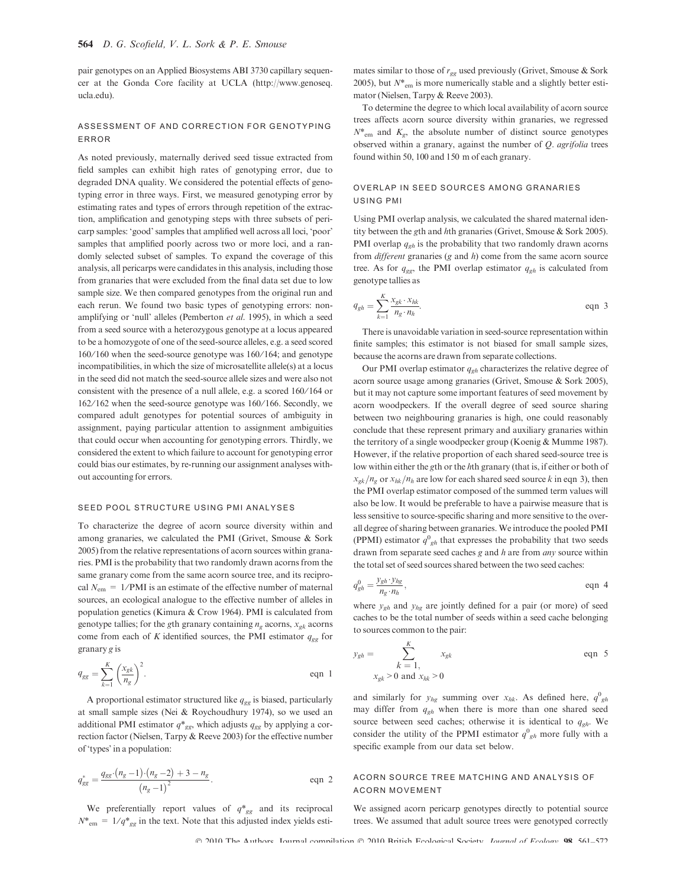pair genotypes on an Applied Biosystems ABI 3730 capillary sequencer at the Gonda Core facility at UCLA (http://www.genoseq. ucla.edu).

#### ASSESSMENT OF AND CORRECTION FOR GENOTYPING ERROR

As noted previously, maternally derived seed tissue extracted from field samples can exhibit high rates of genotyping error, due to degraded DNA quality. We considered the potential effects of genotyping error in three ways. First, we measured genotyping error by estimating rates and types of errors through repetition of the extraction, amplification and genotyping steps with three subsets of pericarp samples: 'good' samples that amplified well across all loci, 'poor' samples that amplified poorly across two or more loci, and a randomly selected subset of samples. To expand the coverage of this analysis, all pericarps were candidates in this analysis, including those from granaries that were excluded from the final data set due to low sample size. We then compared genotypes from the original run and each rerun. We found two basic types of genotyping errors: nonamplifying or 'null' alleles (Pemberton et al. 1995), in which a seed from a seed source with a heterozygous genotype at a locus appeared to be a homozygote of one of the seed-source alleles, e.g. a seed scored 160/160 when the seed-source genotype was 160/164; and genotype incompatibilities, in which the size of microsatellite allele(s) at a locus in the seed did not match the seed-source allele sizes and were also not consistent with the presence of a null allele, e.g. a scored 160/164 or 162/162 when the seed-source genotype was 160/166. Secondly, we compared adult genotypes for potential sources of ambiguity in assignment, paying particular attention to assignment ambiguities that could occur when accounting for genotyping errors. Thirdly, we considered the extent to which failure to account for genotyping error could bias our estimates, by re-running our assignment analyses without accounting for errors.

#### SEED POOL STRUCTURE USING PMI ANALYSES

To characterize the degree of acorn source diversity within and among granaries, we calculated the PMI (Grivet, Smouse & Sork 2005) from the relative representations of acorn sources within granaries. PMI is the probability that two randomly drawn acorns from the same granary come from the same acorn source tree, and its reciprocal  $N_{\text{em}} = 1$ /PMI is an estimate of the effective number of maternal sources, an ecological analogue to the effective number of alleles in population genetics (Kimura & Crow 1964). PMI is calculated from genotype tallies; for the gth granary containing  $n_e$  acorns,  $x_{ek}$  acorns come from each of K identified sources, the PMI estimator  $q_{ge}$  for granary g is

$$
q_{gg} = \sum_{k=1}^{K} \left(\frac{x_{gk}}{n_g}\right)^2.
$$
eqn 1

A proportional estimator structured like  $q_{gg}$  is biased, particularly at small sample sizes (Nei & Roychoudhury 1974), so we used an additional PMI estimator  $q_{gg}^*$ , which adjusts  $q_{gg}$  by applying a correction factor (Nielsen, Tarpy & Reeve 2003) for the effective number of 'types' in a population:

$$
q_{gg}^{*} = \frac{q_{gg} \cdot (n_g - 1) \cdot (n_g - 2) + 3 - n_g}{(n_g - 1)^2}.
$$
 eqn 2

We preferentially report values of  $q*_{gg}$  and its reciprocal  $N^*_{em} = 1/q^*_{ge}$  in the text. Note that this adjusted index yields estimates similar to those of  $r_{gg}$  used previously (Grivet, Smouse & Sork 2005), but  $N^*_{em}$  is more numerically stable and a slightly better estimator (Nielsen, Tarpy & Reeve 2003).

To determine the degree to which local availability of acorn source trees affects acorn source diversity within granaries, we regressed  $N^*_{\text{em}}$  and  $K_g$ , the absolute number of distinct source genotypes observed within a granary, against the number of  $Q$ . *agrifolia* trees found within 50, 100 and 150 m of each granary.

# OVERLAP IN SEED SOURCES AMONG GRANARIES USING PMI

Using PMI overlap analysis, we calculated the shared maternal identity between the gth and hth granaries (Grivet, Smouse & Sork 2005). PMI overlap  $q_{gh}$  is the probability that two randomly drawn acorns from *different* granaries ( $g$  and  $h$ ) come from the same acorn source tree. As for  $q_{gg}$ , the PMI overlap estimator  $q_{gh}$  is calculated from genotype tallies as

$$
q_{gh} = \sum_{k=1}^{K} \frac{x_{gk} \cdot x_{hk}}{n_g \cdot n_h}.
$$
eqn 3

There is unavoidable variation in seed-source representation within finite samples; this estimator is not biased for small sample sizes, because the acorns are drawn from separate collections.

Our PMI overlap estimator  $q_{gh}$  characterizes the relative degree of acorn source usage among granaries (Grivet, Smouse & Sork 2005), but it may not capture some important features of seed movement by acorn woodpeckers. If the overall degree of seed source sharing between two neighbouring granaries is high, one could reasonably conclude that these represent primary and auxiliary granaries within the territory of a single woodpecker group (Koenig & Mumme 1987). However, if the relative proportion of each shared seed-source tree is low within either the gth or the hth granary (that is, if either or both of  $x_{g_k}/n_g$  or  $x_{hk}/n_h$  are low for each shared seed source k in eqn 3), then the PMI overlap estimator composed of the summed term values will also be low. It would be preferable to have a pairwise measure that is less sensitive to source-specific sharing and more sensitive to the overall degree of sharing between granaries. We introduce the pooled PMI (PPMI) estimator  $q_{gh}^0$  that expresses the probability that two seeds drawn from separate seed caches  $g$  and  $h$  are from *any* source within the total set of seed sources shared between the two seed caches:

$$
q_{gh}^0 = \frac{y_{gh} \cdot y_{hg}}{n_g \cdot n_h},
$$
eqn 4

where  $y_{gh}$  and  $y_{hg}$  are jointly defined for a pair (or more) of seed caches to be the total number of seeds within a seed cache belonging to sources common to the pair:

$$
y_{gh} = \sum_{\substack{k=1, \\ x_{gk} > 0 \text{ and } x_{hk} > 0}}^{K} x_{gk} \qquad \text{eqn 5}
$$

and similarly for  $y_{hg}$  summing over  $x_{hk}$ . As defined here,  $q_{gh}^0$ may differ from  $q_{eh}$  when there is more than one shared seed source between seed caches; otherwise it is identical to  $q_{gh}$ . We consider the utility of the PPMI estimator  $q_{gh}^0$  more fully with a specific example from our data set below.

### ACORN SOURCE TREE MATCHING AND ANALYSIS OF ACORN MOVEMENT

We assigned acorn pericarp genotypes directly to potential source trees. We assumed that adult source trees were genotyped correctly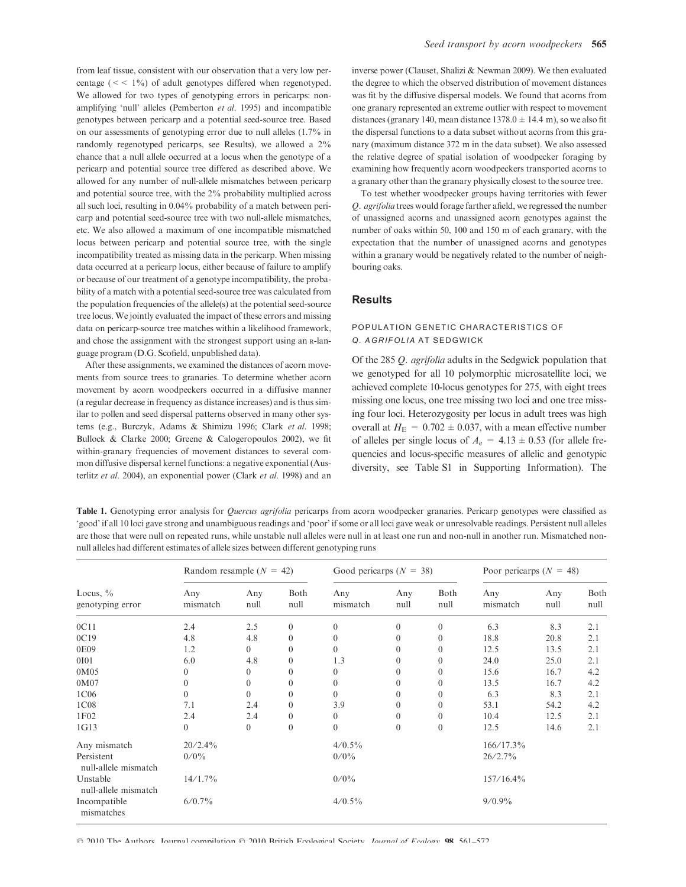from leaf tissue, consistent with our observation that a very low percentage  $(< 1\%)$  of adult genotypes differed when regenotyped. We allowed for two types of genotyping errors in pericarps: nonamplifying 'null' alleles (Pemberton et al. 1995) and incompatible genotypes between pericarp and a potential seed-source tree. Based on our assessments of genotyping error due to null alleles (1.7% in randomly regenotyped pericarps, see Results), we allowed a 2% chance that a null allele occurred at a locus when the genotype of a pericarp and potential source tree differed as described above. We allowed for any number of null-allele mismatches between pericarp and potential source tree, with the 2% probability multiplied across all such loci, resulting in 0.04% probability of a match between pericarp and potential seed-source tree with two null-allele mismatches, etc. We also allowed a maximum of one incompatible mismatched locus between pericarp and potential source tree, with the single incompatibility treated as missing data in the pericarp. When missing data occurred at a pericarp locus, either because of failure to amplify or because of our treatment of a genotype incompatibility, the probability of a match with a potential seed-source tree was calculated from the population frequencies of the allele(s) at the potential seed-source tree locus. We jointly evaluated the impact of these errors and missing data on pericarp-source tree matches within a likelihood framework, and chose the assignment with the strongest support using an r-language program (D.G. Scofield, unpublished data).

After these assignments, we examined the distances of acorn movements from source trees to granaries. To determine whether acorn movement by acorn woodpeckers occurred in a diffusive manner (a regular decrease in frequency as distance increases) and is thus similar to pollen and seed dispersal patterns observed in many other systems (e.g., Burczyk, Adams & Shimizu 1996; Clark et al. 1998; Bullock & Clarke 2000; Greene & Calogeropoulos 2002), we fit within-granary frequencies of movement distances to several common diffusive dispersal kernel functions: a negative exponential (Austerlitz et al. 2004), an exponential power (Clark et al. 1998) and an inverse power (Clauset, Shalizi & Newman 2009). We then evaluated the degree to which the observed distribution of movement distances was fit by the diffusive dispersal models. We found that acorns from one granary represented an extreme outlier with respect to movement distances (granary 140, mean distance  $1378.0 \pm 14.4$  m), so we also fit the dispersal functions to a data subset without acorns from this granary (maximum distance 372 m in the data subset). We also assessed the relative degree of spatial isolation of woodpecker foraging by examining how frequently acorn woodpeckers transported acorns to a granary other than the granary physically closest to the source tree.

To test whether woodpecker groups having territories with fewer Q. agrifolia trees would forage farther afield, we regressed the number of unassigned acorns and unassigned acorn genotypes against the number of oaks within 50, 100 and 150 m of each granary, with the expectation that the number of unassigned acorns and genotypes within a granary would be negatively related to the number of neighbouring oaks.

# **Results**

# POPULATION GENETIC CHARACTERISTICS OF Q. AGRIFOLIA AT SEDGWICK

Of the 285 Q. agrifolia adults in the Sedgwick population that we genotyped for all 10 polymorphic microsatellite loci, we achieved complete 10-locus genotypes for 275, with eight trees missing one locus, one tree missing two loci and one tree missing four loci. Heterozygosity per locus in adult trees was high overall at  $H_{\rm E}$  = 0.702  $\pm$  0.037, with a mean effective number of alleles per single locus of  $A_e = 4.13 \pm 0.53$  (for allele frequencies and locus-specific measures of allelic and genotypic diversity, see Table S1 in Supporting Information). The

Table 1. Genotyping error analysis for Quercus agrifolia pericarps from acorn woodpecker granaries. Pericarp genotypes were classified as 'good' if all 10 loci gave strong and unambiguous readings and 'poor' if some or all loci gave weak or unresolvable readings. Persistent null alleles are those that were null on repeated runs, while unstable null alleles were null in at least one run and non-null in another run. Mismatched nonnull alleles had different estimates of allele sizes between different genotyping runs

|                                    | Random resample $(N = 42)$ |                  |                  | Good pericarps $(N = 38)$ |             |                | Poor pericarps $(N = 48)$ |             |              |
|------------------------------------|----------------------------|------------------|------------------|---------------------------|-------------|----------------|---------------------------|-------------|--------------|
| Locus, $\%$<br>genotyping error    | Any<br>mismatch            | Any<br>null      | Both<br>null     | Any<br>mismatch           | Any<br>null | Both<br>null   | Any<br>mismatch           | Any<br>null | Both<br>null |
| 0C11                               | 2.4                        | 2.5              | $\boldsymbol{0}$ | $\overline{0}$            | $\theta$    | $\theta$       | 6.3                       | 8.3         | 2.1          |
| 0C19                               | 4.8                        | 4.8              | $\mathbf{0}$     | $\overline{0}$            | $\Omega$    | $\theta$       | 18.8                      | 20.8        | 2.1          |
| 0E09                               | 1.2                        | $\boldsymbol{0}$ | $\mathbf{0}$     | $\boldsymbol{0}$          | $\Omega$    | $\theta$       | 12.5                      | 13.5        | 2.1          |
| 0101                               | 6.0                        | 4.8              | $\mathbf{0}$     | 1.3                       | $\theta$    | $\overline{0}$ | 24.0                      | 25.0        | 2.1          |
| 0M05                               | $\left($                   | $\theta$         | $\boldsymbol{0}$ | $\overline{0}$            | $\Omega$    | $\theta$       | 15.6                      | 16.7        | 4.2          |
| 0M07                               | $\theta$                   | $\boldsymbol{0}$ | $\boldsymbol{0}$ | $\overline{0}$            | $\Omega$    | $\theta$       | 13.5                      | 16.7        | 4.2          |
| 1C06                               | 0                          | $\mathbf{0}$     | $\boldsymbol{0}$ | $\boldsymbol{0}$          | $\Omega$    | $\overline{0}$ | 6.3                       | 8.3         | 2.1          |
| 1C08                               | 7.1                        | 2.4              | $\mathbf{0}$     | 3.9                       | $\Omega$    | $\theta$       | 53.1                      | 54.2        | 4.2          |
| 1F <sub>02</sub>                   | 2.4                        | 2.4              | $\theta$         | $\overline{0}$            | $\Omega$    | $\theta$       | 10.4                      | 12.5        | 2.1          |
| 1G13                               | $\Omega$                   | $\mathbf{0}$     | $\theta$         | $\theta$                  | $\theta$    | $\theta$       | 12.5                      | 14.6        | 2.1          |
| Any mismatch                       | 20/2.4%                    |                  |                  | 4/0.5%                    |             |                | $166/17.3\%$              |             |              |
| Persistent<br>null-allele mismatch | $0/0\%$                    |                  |                  | $0/0\%$                   |             |                | 26/2.7%                   |             |              |
| Unstable<br>null-allele mismatch   | $14/1.7\%$                 |                  |                  | $0/0\%$                   |             |                | 157/16.4%                 |             |              |
| Incompatible<br>mismatches         | 6/0.7%                     |                  | $4/0.5\%$        |                           |             | $9/0.9\%$      |                           |             |              |

! 2010 The Authors. Journal compilation ! 2010 British Ecological Society, Journal of Ecology, 98, 561–572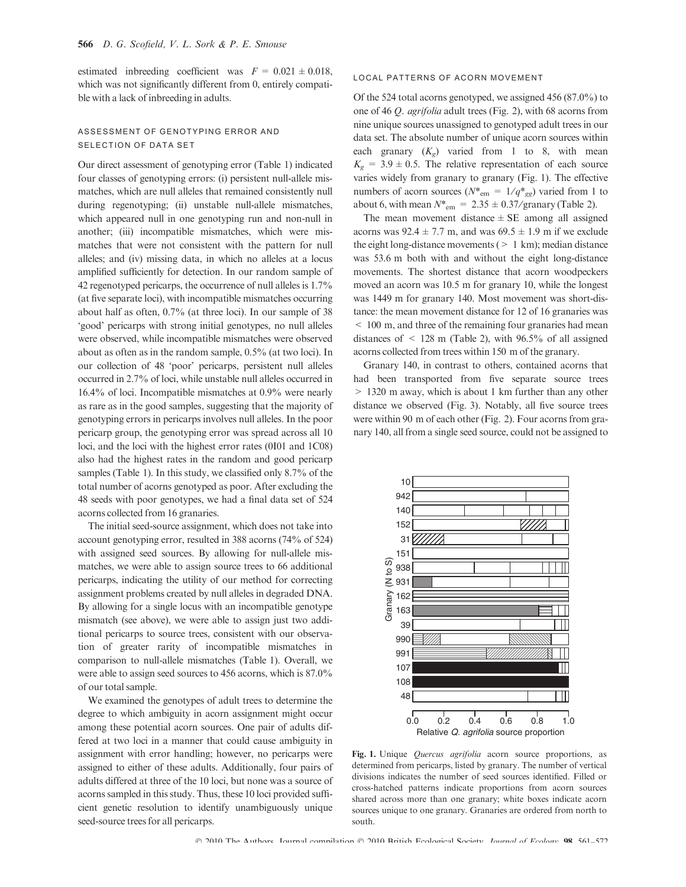estimated inbreeding coefficient was  $F = 0.021 \pm 0.018$ , which was not significantly different from 0, entirely compatible with a lack of inbreeding in adults.

# ASSESSMENT OF GENOTYPING ERROR AND SELECTION OF DATA SET

Our direct assessment of genotyping error (Table 1) indicated four classes of genotyping errors: (i) persistent null-allele mismatches, which are null alleles that remained consistently null during regenotyping; (ii) unstable null-allele mismatches, which appeared null in one genotyping run and non-null in another; (iii) incompatible mismatches, which were mismatches that were not consistent with the pattern for null alleles; and (iv) missing data, in which no alleles at a locus amplified sufficiently for detection. In our random sample of 42 regenotyped pericarps, the occurrence of null alleles is 1.7% (at five separate loci), with incompatible mismatches occurring about half as often, 0.7% (at three loci). In our sample of 38 'good' pericarps with strong initial genotypes, no null alleles were observed, while incompatible mismatches were observed about as often as in the random sample, 0.5% (at two loci). In our collection of 48 'poor' pericarps, persistent null alleles occurred in 2.7% of loci, while unstable null alleles occurred in 16.4% of loci. Incompatible mismatches at 0.9% were nearly as rare as in the good samples, suggesting that the majority of genotyping errors in pericarps involves null alleles. In the poor pericarp group, the genotyping error was spread across all 10 loci, and the loci with the highest error rates (0I01 and 1C08) also had the highest rates in the random and good pericarp samples (Table 1). In this study, we classified only 8.7% of the total number of acorns genotyped as poor. After excluding the 48 seeds with poor genotypes, we had a final data set of 524 acorns collected from 16 granaries.

The initial seed-source assignment, which does not take into account genotyping error, resulted in 388 acorns (74% of 524) with assigned seed sources. By allowing for null-allele mismatches, we were able to assign source trees to 66 additional pericarps, indicating the utility of our method for correcting assignment problems created by null alleles in degraded DNA. By allowing for a single locus with an incompatible genotype mismatch (see above), we were able to assign just two additional pericarps to source trees, consistent with our observation of greater rarity of incompatible mismatches in comparison to null-allele mismatches (Table 1). Overall, we were able to assign seed sources to 456 acorns, which is 87.0% of our total sample.

We examined the genotypes of adult trees to determine the degree to which ambiguity in acorn assignment might occur among these potential acorn sources. One pair of adults differed at two loci in a manner that could cause ambiguity in assignment with error handling; however, no pericarps were assigned to either of these adults. Additionally, four pairs of adults differed at three of the 10 loci, but none was a source of acorns sampled in this study. Thus, these 10 loci provided sufficient genetic resolution to identify unambiguously unique seed-source trees for all pericarps.

## LOCAL PATTERNS OF ACORN MOVEMENT

Of the 524 total acorns genotyped, we assigned 456 (87.0%) to one of 46 Q. agrifolia adult trees (Fig. 2), with 68 acorns from nine unique sources unassigned to genotyped adult trees in our data set. The absolute number of unique acorn sources within each granary  $(K_g)$  varied from 1 to 8, with mean  $K_g = 3.9 \pm 0.5$ . The relative representation of each source varies widely from granary to granary (Fig. 1). The effective numbers of acorn sources ( $N^*_{em} = 1/q^*_{gg}$ ) varied from 1 to about 6, with mean  $N^*_{em} = 2.35 \pm 0.37/\text{granary}$  (Table 2).

The mean movement distance  $\pm$  SE among all assigned acorns was  $92.4 \pm 7.7$  m, and was  $69.5 \pm 1.9$  m if we exclude the eight long-distance movements ( $> 1$  km); median distance was 53.6 m both with and without the eight long-distance movements. The shortest distance that acorn woodpeckers moved an acorn was 10.5 m for granary 10, while the longest was 1449 m for granary 140. Most movement was short-distance: the mean movement distance for 12 of 16 granaries was < 100 m, and three of the remaining four granaries had mean distances of  $\leq$  128 m (Table 2), with 96.5% of all assigned acorns collected from trees within 150 m of the granary.

Granary 140, in contrast to others, contained acorns that had been transported from five separate source trees > 1320 m away, which is about 1 km further than any other distance we observed (Fig. 3). Notably, all five source trees were within 90 m of each other (Fig. 2). Four acorns from granary 140, all from a single seed source, could not be assigned to



Fig. 1. Unique Quercus agrifolia acorn source proportions, as determined from pericarps, listed by granary. The number of vertical divisions indicates the number of seed sources identified. Filled or cross-hatched patterns indicate proportions from acorn sources shared across more than one granary; white boxes indicate acorn sources unique to one granary. Granaries are ordered from north to south.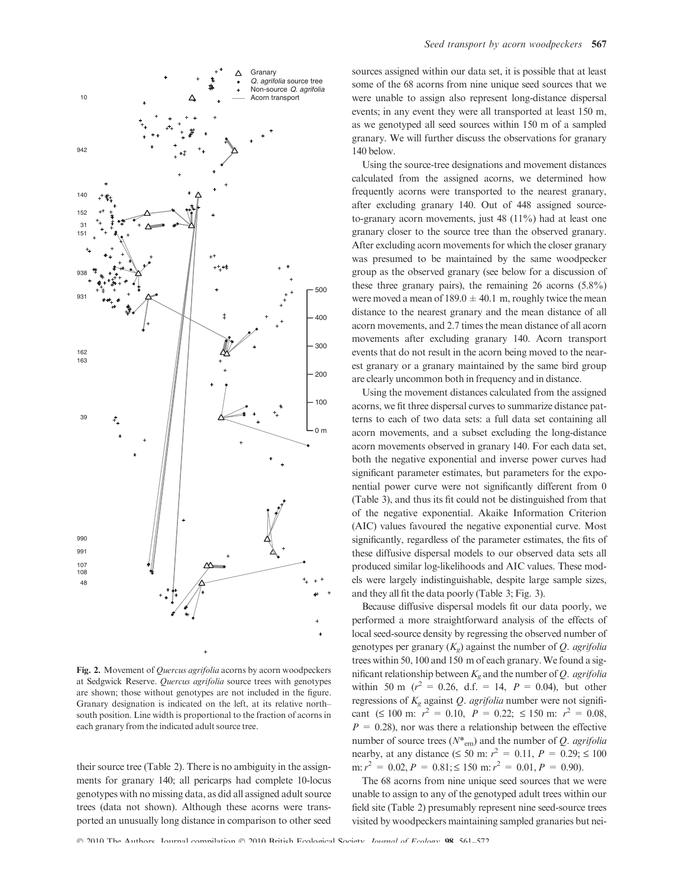

Fig. 2. Movement of Quercus agrifolia acorns by acorn woodpeckers at Sedgwick Reserve. Quercus agrifolia source trees with genotypes are shown; those without genotypes are not included in the figure. Granary designation is indicated on the left, at its relative north– south position. Line width is proportional to the fraction of acorns in each granary from the indicated adult source tree.

their source tree (Table 2). There is no ambiguity in the assignments for granary 140; all pericarps had complete 10-locus genotypes with no missing data, as did all assigned adult source trees (data not shown). Although these acorns were transported an unusually long distance in comparison to other seed sources assigned within our data set, it is possible that at least some of the 68 acorns from nine unique seed sources that we were unable to assign also represent long-distance dispersal events; in any event they were all transported at least 150 m, as we genotyped all seed sources within 150 m of a sampled granary. We will further discuss the observations for granary 140 below.

Using the source-tree designations and movement distances calculated from the assigned acorns, we determined how frequently acorns were transported to the nearest granary, after excluding granary 140. Out of 448 assigned sourceto-granary acorn movements, just 48 (11%) had at least one granary closer to the source tree than the observed granary. After excluding acorn movements for which the closer granary was presumed to be maintained by the same woodpecker group as the observed granary (see below for a discussion of these three granary pairs), the remaining 26 acorns (5.8%) were moved a mean of  $189.0 \pm 40.1$  m, roughly twice the mean distance to the nearest granary and the mean distance of all acorn movements, and 2.7 times the mean distance of all acorn movements after excluding granary 140. Acorn transport events that do not result in the acorn being moved to the nearest granary or a granary maintained by the same bird group are clearly uncommon both in frequency and in distance.

Using the movement distances calculated from the assigned acorns, we fit three dispersal curves to summarize distance patterns to each of two data sets: a full data set containing all acorn movements, and a subset excluding the long-distance acorn movements observed in granary 140. For each data set, both the negative exponential and inverse power curves had significant parameter estimates, but parameters for the exponential power curve were not significantly different from 0 (Table 3), and thus its fit could not be distinguished from that of the negative exponential. Akaike Information Criterion (AIC) values favoured the negative exponential curve. Most significantly, regardless of the parameter estimates, the fits of these diffusive dispersal models to our observed data sets all produced similar log-likelihoods and AIC values. These models were largely indistinguishable, despite large sample sizes, and they all fit the data poorly (Table 3; Fig. 3).

Because diffusive dispersal models fit our data poorly, we performed a more straightforward analysis of the effects of local seed-source density by regressing the observed number of genotypes per granary  $(K_g)$  against the number of Q. agrifolia trees within 50, 100 and 150 m of each granary. We found a significant relationship between  $K_{\sigma}$  and the number of Q. agrifolia within 50 m  $(r^2 = 0.26, d.f. = 14, P = 0.04)$ , but other regressions of  $K_{\sigma}$  against Q. *agrifolia* number were not significant ( $\leq 100$  m:  $r^2 = 0.10$ ,  $P = 0.22$ ;  $\leq 150$  m:  $r^2 = 0.08$ ,  $P = 0.28$ ), nor was there a relationship between the effective number of source trees  $(N^*_{em})$  and the number of Q. agrifolia nearby, at any distance ( $\leq 50$  m:  $r^2 = 0.11$ ,  $P = 0.29$ ;  $\leq 100$ m:  $r^2 = 0.02$ ,  $P = 0.81$ ;  $\le 150$  m:  $r^2 = 0.01$ ,  $P = 0.90$ ).

The 68 acorns from nine unique seed sources that we were unable to assign to any of the genotyped adult trees within our field site (Table 2) presumably represent nine seed-source trees visited by woodpeckers maintaining sampled granaries but nei-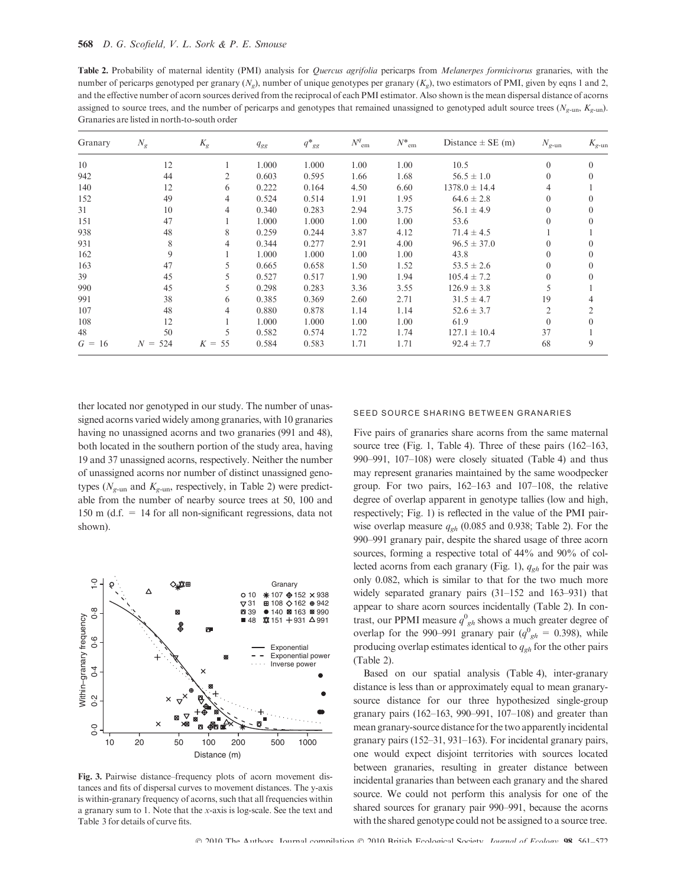Table 2. Probability of maternal identity (PMI) analysis for *Quercus agrifolia* pericarps from *Melanerpes formicivorus* granaries, with the number of pericarps genotyped per granary  $(N<sub>e</sub>)$ , number of unique genotypes per granary  $(K<sub>e</sub>)$ , two estimators of PMI, given by eqns 1 and 2, and the effective number of acorn sources derived from the reciprocal of each PMI estimator. Also shown is the mean dispersal distance of acorns assigned to source trees, and the number of pericarps and genotypes that remained unassigned to genotyped adult source trees  $(N_{\text{g-un}}, K_{\text{g-un}})$ . Granaries are listed in north-to-south order

| Granary  | $N_{\rm g}$ | $K_g$    | $q_{gg}$ | $q^*_{gg}$ | $N^q_{\ \rm em}$ | $N^*_{em}$ | Distance $\pm$ SE (m) | $N_{\text{g-un}}$ | $K_{\text{g-un}}$ |
|----------|-------------|----------|----------|------------|------------------|------------|-----------------------|-------------------|-------------------|
| 10       | 12          |          | 1.000    | 1.000      | 1.00             | 1.00       | 10.5                  | $\theta$          | 0                 |
| 942      | 44          | 2        | 0.603    | 0.595      | 1.66             | 1.68       | $56.5 \pm 1.0$        | $\overline{0}$    | 0                 |
| 140      | 12          | 6        | 0.222    | 0.164      | 4.50             | 6.60       | $1378.0 \pm 14.4$     | 4                 |                   |
| 152      | 49          | 4        | 0.524    | 0.514      | 1.91             | 1.95       | $64.6 \pm 2.8$        | $\mathbf{0}$      |                   |
| 31       | 10          | 4        | 0.340    | 0.283      | 2.94             | 3.75       | $56.1 \pm 4.9$        | $\left($          |                   |
| 151      | 47          |          | 1.000    | 1.000      | 1.00             | 1.00       | 53.6                  | $\theta$          | 0                 |
| 938      | 48          | 8        | 0.259    | 0.244      | 3.87             | 4.12       | $71.4 \pm 4.5$        |                   |                   |
| 931      | 8           | 4        | 0.344    | 0.277      | 2.91             | 4.00       | $96.5 \pm 37.0$       | $\Omega$          |                   |
| 162      | 9           |          | 1.000    | 1.000      | 1.00             | 1.00       | 43.8                  | $\Omega$          |                   |
| 163      | 47          |          | 0.665    | 0.658      | 1.50             | 1.52       | $53.5 \pm 2.6$        | $\overline{0}$    |                   |
| 39       | 45          |          | 0.527    | 0.517      | 1.90             | 1.94       | $105.4 \pm 7.2$       | $\overline{0}$    | $\theta$          |
| 990      | 45          | 5        | 0.298    | 0.283      | 3.36             | 3.55       | $126.9 \pm 3.8$       | 5                 |                   |
| 991      | 38          | 6        | 0.385    | 0.369      | 2.60             | 2.71       | $31.5 \pm 4.7$        | 19                |                   |
| 107      | 48          | 4        | 0.880    | 0.878      | 1.14             | 1.14       | $52.6 \pm 3.7$        | $\overline{2}$    |                   |
| 108      | 12          |          | 1.000    | 1.000      | 1.00             | 1.00       | 61.9                  | $\theta$          | 0                 |
| 48       | 50          |          | 0.582    | 0.574      | 1.72             | 1.74       | $127.1 \pm 10.4$      | 37                |                   |
| $G = 16$ | $N = 524$   | $K = 55$ | 0.584    | 0.583      | 1.71             | 1.71       | $92.4 \pm 7.7$        | 68                | 9                 |

ther located nor genotyped in our study. The number of unassigned acorns varied widely among granaries, with 10 granaries having no unassigned acorns and two granaries (991 and 48), both located in the southern portion of the study area, having 19 and 37 unassigned acorns, respectively. Neither the number of unassigned acorns nor number of distinct unassigned genotypes ( $N_{g\text{-un}}$  and  $K_{g\text{-un}}$ , respectively, in Table 2) were predictable from the number of nearby source trees at 50, 100 and 150 m (d.f. = 14 for all non-significant regressions, data not shown).



Fig. 3. Pairwise distance–frequency plots of acorn movement distances and fits of dispersal curves to movement distances. The y-axis is within-granary frequency of acorns, such that all frequencies within a granary sum to 1. Note that the x-axis is log-scale. See the text and Table 3 for details of curve fits.

#### SEED SOURCE SHARING BETWEEN GRANARIES

Five pairs of granaries share acorns from the same maternal source tree (Fig. 1, Table 4). Three of these pairs (162–163, 990–991, 107–108) were closely situated (Table 4) and thus may represent granaries maintained by the same woodpecker group. For two pairs, 162–163 and 107–108, the relative degree of overlap apparent in genotype tallies (low and high, respectively; Fig. 1) is reflected in the value of the PMI pairwise overlap measure  $q_{gh}$  (0.085 and 0.938; Table 2). For the 990–991 granary pair, despite the shared usage of three acorn sources, forming a respective total of 44% and 90% of collected acorns from each granary (Fig. 1),  $q_{gh}$  for the pair was only 0.082, which is similar to that for the two much more widely separated granary pairs (31–152 and 163–931) that appear to share acorn sources incidentally (Table 2). In contrast, our PPMI measure  $q^{0}_{gh}$  shows a much greater degree of overlap for the 990–991 granary pair  $(q^{0}_{gh} = 0.398)$ , while producing overlap estimates identical to  $q_{gh}$  for the other pairs (Table 2).

Based on our spatial analysis (Table 4), inter-granary distance is less than or approximately equal to mean granarysource distance for our three hypothesized single-group granary pairs (162–163, 990–991, 107–108) and greater than mean granary-source distance for the two apparently incidental granary pairs (152–31, 931–163). For incidental granary pairs, one would expect disjoint territories with sources located between granaries, resulting in greater distance between incidental granaries than between each granary and the shared source. We could not perform this analysis for one of the shared sources for granary pair 990–991, because the acorns with the shared genotype could not be assigned to a source tree.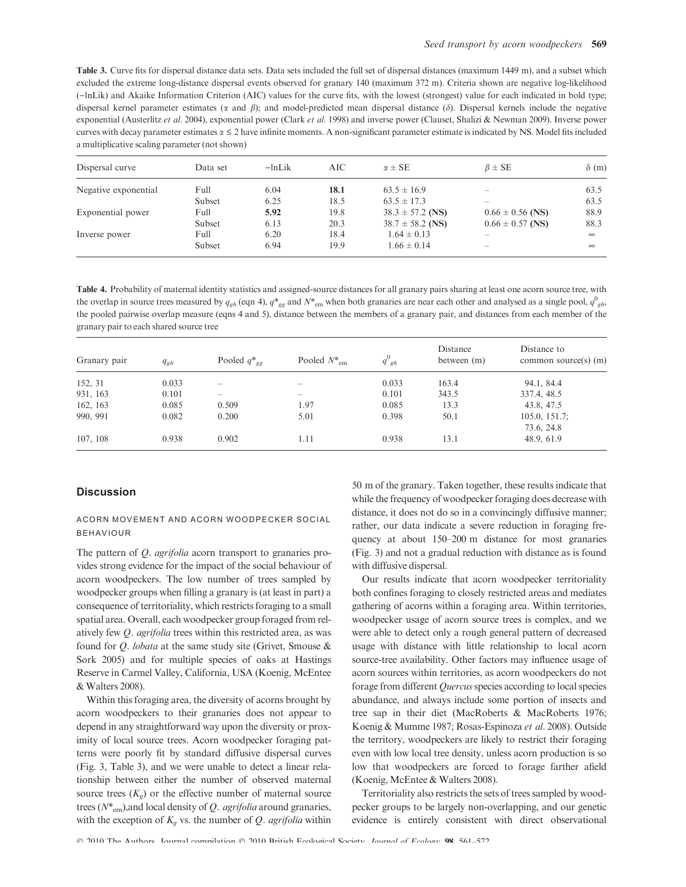Table 3. Curve fits for dispersal distance data sets. Data sets included the full set of dispersal distances (maximum 1449 m), and a subset which excluded the extreme long-distance dispersal events observed for granary 140 (maximum 372 m). Criteria shown are negative log-likelihood (-lnLik) and Akaike Information Criterion (AIC) values for the curve fits, with the lowest (strongest) value for each indicated in bold type; dispersal kernel parameter estimates ( $\alpha$  and  $\beta$ ); and model-predicted mean dispersal distance ( $\delta$ ). Dispersal kernels include the negative exponential (Austerlitz et al. 2004), exponential power (Clark et al. 1998) and inverse power (Clauset, Shalizi & Newman 2009). Inverse power curves with decay parameter estimates  $\alpha \leq 2$  have infinite moments. A non-significant parameter estimate is indicated by NS. Model fits included a multiplicative scaling parameter (not shown)

| Dispersal curve      | Data set | $-\ln$ Lik | AIC  | $\alpha \pm SE$      | $\beta \pm \text{SE}$ | $\delta$ (m) |
|----------------------|----------|------------|------|----------------------|-----------------------|--------------|
| Negative exponential | Full     | 6.04       | 18.1 | $63.5 \pm 16.9$      |                       | 63.5         |
|                      | Subset   | 6.25       | 18.5 | $63.5 \pm 17.3$      |                       | 63.5         |
| Exponential power    | Full     | 5.92       | 19.8 | $38.3 \pm 57.2$ (NS) | $0.66 \pm 0.56$ (NS)  | 88.9         |
|                      | Subset   | 6.13       | 20.3 | $38.7 \pm 58.2$ (NS) | $0.66 \pm 0.57$ (NS)  | 88.3         |
| Inverse power        | Full     | 6.20       | 18.4 | $1.64 \pm 0.13$      |                       | $\infty$     |
|                      | Subset   | 6.94       | 19.9 | $1.66 \pm 0.14$      | -                     | $\infty$     |

Table 4. Probability of maternal identity statistics and assigned-source distances for all granary pairs sharing at least one acorn source tree, with the overlap in source trees measured by  $q_{gh}$  (eqn 4),  $q_{gg}^*$  and  $N_{em}^*$  when both granaries are near each other and analysed as a single pool,  $q_{gh}^0$ the pooled pairwise overlap measure (eqns 4 and 5), distance between the members of a granary pair, and distances from each member of the granary pair to each shared source tree

| Granary pair | $q_{gh}$ | Pooled $q^*_{\rho\rho}$         | Pooled $N^*_{em}$               | $q^{0}_{gh}$ | Distance<br>between (m) | Distance to<br>common source $(s)$ $(m)$ |
|--------------|----------|---------------------------------|---------------------------------|--------------|-------------------------|------------------------------------------|
| 152, 31      | 0.033    |                                 |                                 | 0.033        | 163.4                   | 94.1, 84.4                               |
| 931, 163     | 0.101    | $\hspace{0.1mm}-\hspace{0.1mm}$ | $\hspace{0.1mm}-\hspace{0.1mm}$ | 0.101        | 343.5                   | 337.4, 48.5                              |
| 162, 163     | 0.085    | 0.509                           | 1.97                            | 0.085        | 13.3                    | 43.8, 47.5                               |
| 990, 991     | 0.082    | 0.200                           | 5.01                            | 0.398        | 50.1                    | 105.0, 151.7;<br>73.6, 24.8              |
| 107, 108     | 0.938    | 0.902                           | 1.11                            | 0.938        | 13.1                    | 48.9, 61.9                               |

# **Discussion**

# ACORN MOVEMENT AND ACORN WOODPECKER SOCIAL BEHAVIOUR

The pattern of *Q. agrifolia* acorn transport to granaries provides strong evidence for the impact of the social behaviour of acorn woodpeckers. The low number of trees sampled by woodpecker groups when filling a granary is (at least in part) a consequence of territoriality, which restricts foraging to a small spatial area. Overall, each woodpecker group foraged from relatively few Q. agrifolia trees within this restricted area, as was found for  $Q$ . *lobata* at the same study site (Grivet, Smouse  $\&$ Sork 2005) and for multiple species of oaks at Hastings Reserve in Carmel Valley, California, USA (Koenig, McEntee & Walters 2008).

Within this foraging area, the diversity of acorns brought by acorn woodpeckers to their granaries does not appear to depend in any straightforward way upon the diversity or proximity of local source trees. Acorn woodpecker foraging patterns were poorly fit by standard diffusive dispersal curves (Fig. 3, Table 3), and we were unable to detect a linear relationship between either the number of observed maternal source trees  $(K_g)$  or the effective number of maternal source trees ( $N^*$ <sub>em</sub>),and local density of Q. agrifolia around granaries, with the exception of  $K_g$  vs. the number of Q. agrifolia within 50 m of the granary. Taken together, these results indicate that while the frequency of woodpecker foraging does decrease with distance, it does not do so in a convincingly diffusive manner; rather, our data indicate a severe reduction in foraging frequency at about 150–200 m distance for most granaries (Fig. 3) and not a gradual reduction with distance as is found with diffusive dispersal.

Our results indicate that acorn woodpecker territoriality both confines foraging to closely restricted areas and mediates gathering of acorns within a foraging area. Within territories, woodpecker usage of acorn source trees is complex, and we were able to detect only a rough general pattern of decreased usage with distance with little relationship to local acorn source-tree availability. Other factors may influence usage of acorn sources within territories, as acorn woodpeckers do not forage from different *Quercus* species according to local species abundance, and always include some portion of insects and tree sap in their diet (MacRoberts & MacRoberts 1976; Koenig & Mumme 1987; Rosas-Espinoza et al. 2008). Outside the territory, woodpeckers are likely to restrict their foraging even with low local tree density, unless acorn production is so low that woodpeckers are forced to forage farther afield (Koenig, McEntee & Walters 2008).

Territoriality also restricts the sets of trees sampled by woodpecker groups to be largely non-overlapping, and our genetic evidence is entirely consistent with direct observational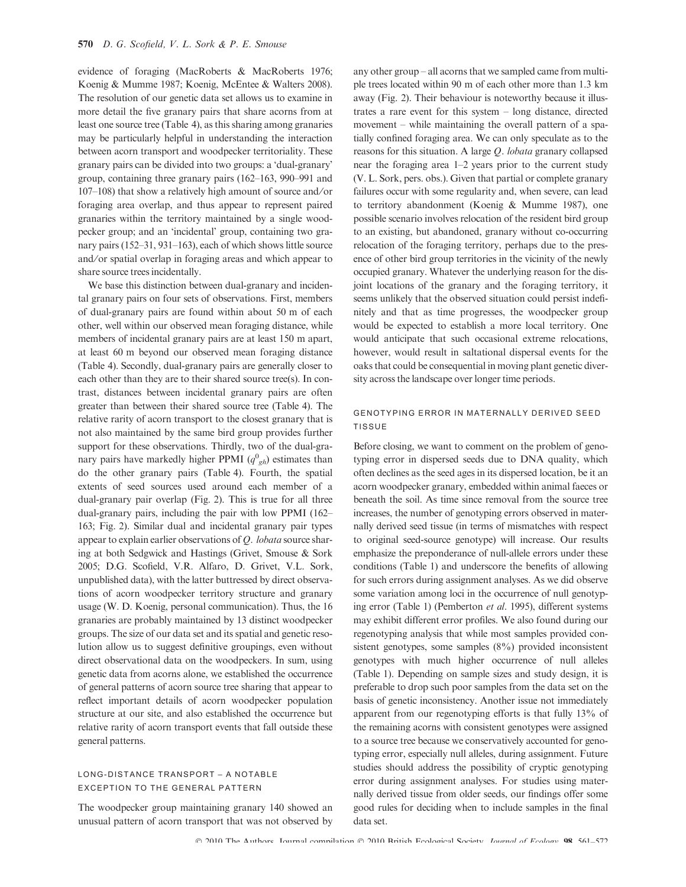evidence of foraging (MacRoberts & MacRoberts 1976; Koenig & Mumme 1987; Koenig, McEntee & Walters 2008). The resolution of our genetic data set allows us to examine in more detail the five granary pairs that share acorns from at least one source tree (Table 4), as this sharing among granaries may be particularly helpful in understanding the interaction between acorn transport and woodpecker territoriality. These granary pairs can be divided into two groups: a 'dual-granary' group, containing three granary pairs (162–163, 990–991 and 107–108) that show a relatively high amount of source and ⁄or foraging area overlap, and thus appear to represent paired granaries within the territory maintained by a single woodpecker group; and an 'incidental' group, containing two granary pairs (152–31, 931–163), each of which shows little source and/or spatial overlap in foraging areas and which appear to share source trees incidentally.

We base this distinction between dual-granary and incidental granary pairs on four sets of observations. First, members of dual-granary pairs are found within about 50 m of each other, well within our observed mean foraging distance, while members of incidental granary pairs are at least 150 m apart, at least 60 m beyond our observed mean foraging distance (Table 4). Secondly, dual-granary pairs are generally closer to each other than they are to their shared source tree(s). In contrast, distances between incidental granary pairs are often greater than between their shared source tree (Table 4). The relative rarity of acorn transport to the closest granary that is not also maintained by the same bird group provides further support for these observations. Thirdly, two of the dual-granary pairs have markedly higher PPMI  $(q^0_{gh})$  estimates than do the other granary pairs (Table 4). Fourth, the spatial extents of seed sources used around each member of a dual-granary pair overlap (Fig. 2). This is true for all three dual-granary pairs, including the pair with low PPMI (162– 163; Fig. 2). Similar dual and incidental granary pair types appear to explain earlier observations of Q. lobata source sharing at both Sedgwick and Hastings (Grivet, Smouse & Sork 2005; D.G. Scofield, V.R. Alfaro, D. Grivet, V.L. Sork, unpublished data), with the latter buttressed by direct observations of acorn woodpecker territory structure and granary usage (W. D. Koenig, personal communication). Thus, the 16 granaries are probably maintained by 13 distinct woodpecker groups. The size of our data set and its spatial and genetic resolution allow us to suggest definitive groupings, even without direct observational data on the woodpeckers. In sum, using genetic data from acorns alone, we established the occurrence of general patterns of acorn source tree sharing that appear to reflect important details of acorn woodpecker population structure at our site, and also established the occurrence but relative rarity of acorn transport events that fall outside these general patterns.

# LONG-DISTANCE TRANSPORT – A NOTABLE EXCEPTION TO THE GENERAL PATTERN

The woodpecker group maintaining granary 140 showed an unusual pattern of acorn transport that was not observed by

any other group – all acorns that we sampled came from multiple trees located within 90 m of each other more than 1.3 km away (Fig. 2). Their behaviour is noteworthy because it illustrates a rare event for this system – long distance, directed movement – while maintaining the overall pattern of a spatially confined foraging area. We can only speculate as to the reasons for this situation. A large Q. *lobata* granary collapsed near the foraging area 1–2 years prior to the current study (V. L. Sork, pers. obs.). Given that partial or complete granary failures occur with some regularity and, when severe, can lead to territory abandonment (Koenig & Mumme 1987), one possible scenario involves relocation of the resident bird group to an existing, but abandoned, granary without co-occurring relocation of the foraging territory, perhaps due to the presence of other bird group territories in the vicinity of the newly occupied granary. Whatever the underlying reason for the disjoint locations of the granary and the foraging territory, it seems unlikely that the observed situation could persist indefinitely and that as time progresses, the woodpecker group would be expected to establish a more local territory. One would anticipate that such occasional extreme relocations, however, would result in saltational dispersal events for the oaks that could be consequential in moving plant genetic diversity across the landscape over longer time periods.

# GENOTYPING ERROR IN MATERNALLY DERIVED SEED TISSUE

Before closing, we want to comment on the problem of genotyping error in dispersed seeds due to DNA quality, which often declines as the seed ages in its dispersed location, be it an acorn woodpecker granary, embedded within animal faeces or beneath the soil. As time since removal from the source tree increases, the number of genotyping errors observed in maternally derived seed tissue (in terms of mismatches with respect to original seed-source genotype) will increase. Our results emphasize the preponderance of null-allele errors under these conditions (Table 1) and underscore the benefits of allowing for such errors during assignment analyses. As we did observe some variation among loci in the occurrence of null genotyping error (Table 1) (Pemberton et al. 1995), different systems may exhibit different error profiles. We also found during our regenotyping analysis that while most samples provided consistent genotypes, some samples (8%) provided inconsistent genotypes with much higher occurrence of null alleles (Table 1). Depending on sample sizes and study design, it is preferable to drop such poor samples from the data set on the basis of genetic inconsistency. Another issue not immediately apparent from our regenotyping efforts is that fully 13% of the remaining acorns with consistent genotypes were assigned to a source tree because we conservatively accounted for genotyping error, especially null alleles, during assignment. Future studies should address the possibility of cryptic genotyping error during assignment analyses. For studies using maternally derived tissue from older seeds, our findings offer some good rules for deciding when to include samples in the final data set.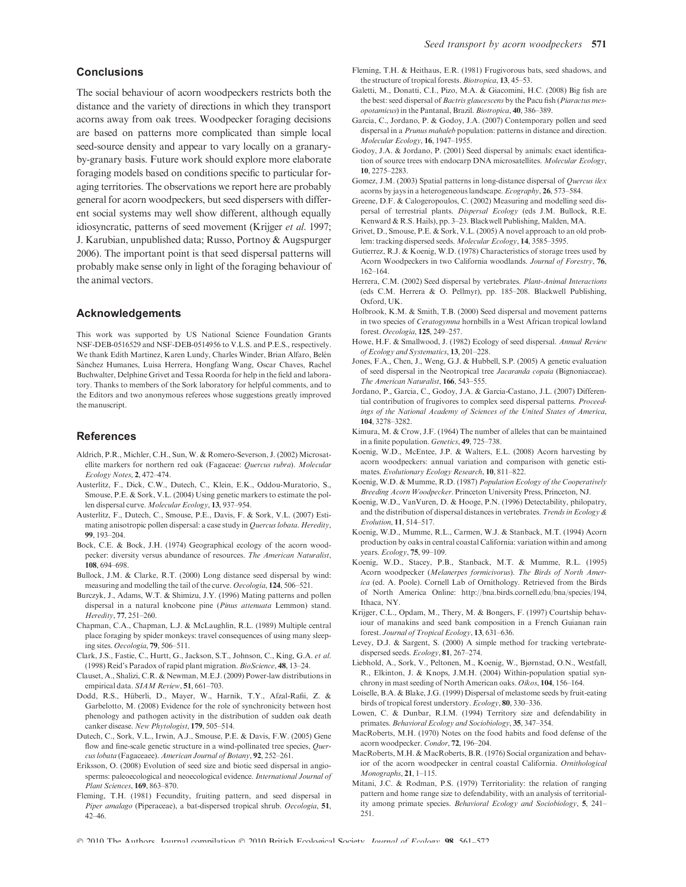# **Conclusions**

The social behaviour of acorn woodpeckers restricts both the distance and the variety of directions in which they transport acorns away from oak trees. Woodpecker foraging decisions are based on patterns more complicated than simple local seed-source density and appear to vary locally on a granaryby-granary basis. Future work should explore more elaborate foraging models based on conditions specific to particular foraging territories. The observations we report here are probably general for acorn woodpeckers, but seed dispersers with different social systems may well show different, although equally idiosyncratic, patterns of seed movement (Krijger et al. 1997; J. Karubian, unpublished data; Russo, Portnoy & Augspurger 2006). The important point is that seed dispersal patterns will probably make sense only in light of the foraging behaviour of the animal vectors.

# Acknowledgements

This work was supported by US National Science Foundation Grants NSF-DEB-0516529 and NSF-DEB-0514956 to V.L.S. and P.E.S., respectively. We thank Edith Martinez, Karen Lundy, Charles Winder, Brian Alfaro, Belén Sánchez Humanes, Luisa Herrera, Hongfang Wang, Oscar Chaves, Rachel Buchwalter, Delphine Grivet and Tessa Roorda for help in the field and laboratory. Thanks to members of the Sork laboratory for helpful comments, and to the Editors and two anonymous referees whose suggestions greatly improved the manuscript.

## References

- Aldrich, P.R., Michler, C.H., Sun, W. & Romero-Severson, J. (2002) Microsatellite markers for northern red oak (Fagaceae: Quercus rubra). Molecular Ecology Notes, 2, 472–474.
- Austerlitz, F., Dick, C.W., Dutech, C., Klein, E.K., Oddou-Muratorio, S., Smouse, P.E. & Sork, V.L. (2004) Using genetic markers to estimate the pollen dispersal curve. Molecular Ecology, 13, 937–954.
- Austerlitz, F., Dutech, C., Smouse, P.E., Davis, F. & Sork, V.L. (2007) Estimating anisotropic pollen dispersal: a case study in Quercus lobata. Heredity, 99, 193–204.
- Bock, C.E. & Bock, J.H. (1974) Geographical ecology of the acorn woodpecker: diversity versus abundance of resources. The American Naturalist, 108, 694–698.
- Bullock, J.M. & Clarke, R.T. (2000) Long distance seed dispersal by wind: measuring and modelling the tail of the curve. Oecologia, 124, 506–521.
- Burczyk, J., Adams, W.T. & Shimizu, J.Y. (1996) Mating patterns and pollen dispersal in a natural knobcone pine (Pinus attenuata Lemmon) stand. Heredity, 77, 251–260.
- Chapman, C.A., Chapman, L.J. & McLaughlin, R.L. (1989) Multiple central place foraging by spider monkeys: travel consequences of using many sleeping sites. Oecologia, 79, 506–511.
- Clark, J.S., Fastie, C., Hurtt, G., Jackson, S.T., Johnson, C., King, G.A. et al. (1998) Reid's Paradox of rapid plant migration. BioScience, 48, 13–24.
- Clauset, A., Shalizi, C.R. & Newman, M.E.J. (2009) Power-law distributions in empirical data. SIAM Review, 51, 661-703.
- Dodd, R.S., Hüberli, D., Mayer, W., Harnik, T.Y., Afzal-Rafii, Z. & Garbelotto, M. (2008) Evidence for the role of synchronicity between host phenology and pathogen activity in the distribution of sudden oak death canker disease. New Phytologist, 179, 505–514.
- Dutech, C., Sork, V.L., Irwin, A.J., Smouse, P.E. & Davis, F.W. (2005) Gene flow and fine-scale genetic structure in a wind-pollinated tree species, Quercus lobata (Fagaceaee). American Journal of Botany, 92, 252–261.
- Eriksson, O. (2008) Evolution of seed size and biotic seed dispersal in angiosperms: paleoecological and neoecological evidence. International Journal of Plant Sciences, 169, 863–870.
- Fleming, T.H. (1981) Fecundity, fruiting pattern, and seed dispersal in Piper amalago (Piperaceae), a bat-dispersed tropical shrub. Oecologia, 51, 42–46.
- Fleming, T.H. & Heithaus, E.R. (1981) Frugivorous bats, seed shadows, and the structure of tropical forests. Biotropica, 13, 45–53.
- Galetti, M., Donatti, C.I., Pizo, M.A. & Giacomini, H.C. (2008) Big fish are the best: seed dispersal of Bactris glaucescens by the Pacu fish (Piaractus mesopotamicus) in the Pantanal, Brazil. Biotropica, 40, 386–389.
- Garcia, C., Jordano, P. & Godoy, J.A. (2007) Contemporary pollen and seed dispersal in a Prunus mahaleb population: patterns in distance and direction. Molecular Ecology, 16, 1947–1955.
- Godoy, J.A. & Jordano, P. (2001) Seed dispersal by animals: exact identification of source trees with endocarp DNA microsatellites. Molecular Ecology, 10, 2275–2283.
- Gomez, J.M. (2003) Spatial patterns in long-distance dispersal of Quercus ilex acorns by jays in a heterogeneous landscape. Ecography, 26, 573–584.
- Greene, D.F. & Calogeropoulos, C. (2002) Measuring and modelling seed dispersal of terrestrial plants. Dispersal Ecology (eds J.M. Bullock, R.E. Kenward & R.S. Hails), pp. 3–23. Blackwell Publishing, Malden, MA.
- Grivet, D., Smouse, P.E. & Sork, V.L. (2005) A novel approach to an old problem: tracking dispersed seeds. Molecular Ecology, 14, 3585–3595.
- Gutierrez, R.J. & Koenig, W.D. (1978) Characteristics of storage trees used by Acorn Woodpeckers in two California woodlands. Journal of Forestry, 76, 162–164.
- Herrera, C.M. (2002) Seed dispersal by vertebrates. Plant-Animal Interactions (eds C.M. Herrera & O. Pellmyr), pp. 185–208. Blackwell Publishing, Oxford, UK.
- Holbrook, K.M. & Smith, T.B. (2000) Seed dispersal and movement patterns in two species of Ceratogymna hornbills in a West African tropical lowland forest. Oecologia, 125, 249–257.
- Howe, H.F. & Smallwood, J. (1982) Ecology of seed dispersal. Annual Review of Ecology and Systematics, 13, 201–228.
- Jones, F.A., Chen, J., Weng, G.J. & Hubbell, S.P. (2005) A genetic evaluation of seed dispersal in the Neotropical tree Jacaranda copaia (Bignoniaceae). The American Naturalist, 166, 543-555.
- Jordano, P., Garcia, C., Godoy, J.A. & Garcia-Castano, J.L. (2007) Differential contribution of frugivores to complex seed dispersal patterns. Proceedings of the National Academy of Sciences of the United States of America, 104, 3278–3282.
- Kimura, M. & Crow, J.F. (1964) The number of alleles that can be maintained in a finite population. Genetics, 49, 725–738.
- Koenig, W.D., McEntee, J.P. & Walters, E.L. (2008) Acorn harvesting by acorn woodpeckers: annual variation and comparison with genetic estimates. Evolutionary Ecology Research, 10, 811–822.
- Koenig, W.D. & Mumme, R.D. (1987) Population Ecology of the Cooperatively Breeding Acorn Woodpecker. Princeton University Press, Princeton, NJ.
- Koenig, W.D., VanVuren, D. & Hooge, P.N. (1996) Detectability, philopatry, and the distribution of dispersal distances in vertebrates. Trends in Ecology & Evolution, 11, 514–517.
- Koenig, W.D., Mumme, R.L., Carmen, W.J. & Stanback, M.T. (1994) Acorn production by oaks in central coastal California: variation within and among years. Ecology, 75, 99–109.
- Koenig, W.D., Stacey, P.B., Stanback, M.T. & Mumme, R.L. (1995) Acorn woodpecker (Melanerpes formicivorus). The Birds of North America (ed. A. Poole). Cornell Lab of Ornithology. Retrieved from the Birds of North America Online: http://bna.birds.cornell.edu/bna/species/194, Ithaca, NY.
- Krijger, C.L., Opdam, M., Thery, M. & Bongers, F. (1997) Courtship behaviour of manakins and seed bank composition in a French Guianan rain forest. Journal of Tropical Ecology, 13, 631–636.
- Levey, D.J. & Sargent, S. (2000) A simple method for tracking vertebratedispersed seeds. Ecology, 81, 267-274.
- Liebhold, A., Sork, V., Peltonen, M., Koenig, W., Bjørnstad, O.N., Westfall, R., Elkinton, J. & Knops, J.M.H. (2004) Within-population spatial synchrony in mast seeding of North American oaks. Oikos, 104, 156–164.
- Loiselle, B.A. & Blake, J.G. (1999) Dispersal of melastome seeds by fruit-eating birds of tropical forest understory. Ecology, 80, 330-336.
- Lowen, C. & Dunbar, R.I.M. (1994) Territory size and defendability in primates. Behavioral Ecology and Sociobiology, 35, 347–354.
- MacRoberts, M.H. (1970) Notes on the food habits and food defense of the acorn woodpecker. Condor, 72, 196–204.
- MacRoberts, M.H. & MacRoberts, B.R. (1976) Social organization and behavior of the acorn woodpecker in central coastal California. Ornithological Monographs, 21, 1–115.
- Mitani, J.C. & Rodman, P.S. (1979) Territoriality: the relation of ranging pattern and home range size to defendability, with an analysis of territoriality among primate species. Behavioral Ecology and Sociobiology, 5, 241-251.